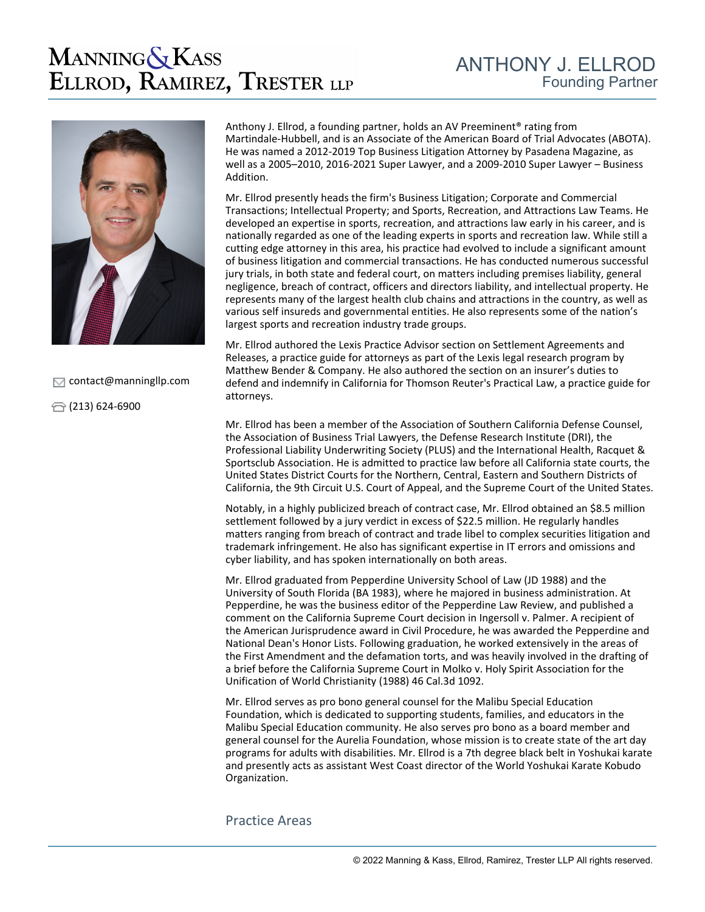## **MANNING & KASS** ELLROD, RAMIREZ, TRESTER LLP



 $\Box$  [contact@manningllp.com](mailto:contact@manningllp.com)

 $\bigoplus$  (213) 624-6900

Anthony J. Ellrod, a founding partner, holds an AV Preeminent® rating from Martindale-Hubbell, and is an Associate of the American Board of Trial Advocates (ABOTA). He was named a 2012-2019 Top Business Litigation Attorney by Pasadena Magazine, as well as a 2005–2010, 2016-2021 Super Lawyer, and a 2009-2010 Super Lawyer – Business Addition.

Mr. Ellrod presently heads the firm's Business Litigation; Corporate and Commercial Transactions; Intellectual Property; and Sports, Recreation, and Attractions Law Teams. He developed an expertise in sports, recreation, and attractions law early in his career, and is nationally regarded as one of the leading experts in sports and recreation law. While still a cutting edge attorney in this area, his practice had evolved to include a significant amount of business litigation and commercial transactions. He has conducted numerous successful jury trials, in both state and federal court, on matters including premises liability, general negligence, breach of contract, officers and directors liability, and intellectual property. He represents many of the largest health club chains and attractions in the country, as well as various self insureds and governmental entities. He also represents some of the nation's largest sports and recreation industry trade groups.

Mr. Ellrod authored the Lexis Practice Advisor section on Settlement Agreements and Releases, a practice guide for attorneys as part of the Lexis legal research program by Matthew Bender & Company. He also authored the section on an insurer's duties to defend and indemnify in California for Thomson Reuter's Practical Law, a practice guide for attorneys.

Mr. Ellrod has been a member of the Association of Southern California Defense Counsel, the Association of Business Trial Lawyers, the Defense Research Institute (DRI), the Professional Liability Underwriting Society (PLUS) and the International Health, Racquet & Sportsclub Association. He is admitted to practice law before all California state courts, the United States District Courts for the Northern, Central, Eastern and Southern Districts of California, the 9th Circuit U.S. Court of Appeal, and the Supreme Court of the United States.

Notably, in a highly publicized breach of contract case, Mr. Ellrod obtained an \$8.5 million settlement followed by a jury verdict in excess of \$22.5 million. He regularly handles matters ranging from breach of contract and trade libel to complex securities litigation and trademark infringement. He also has significant expertise in IT errors and omissions and cyber liability, and has spoken internationally on both areas.

Mr. Ellrod graduated from Pepperdine University School of Law (JD 1988) and the University of South Florida (BA 1983), where he majored in business administration. At Pepperdine, he was the business editor of the Pepperdine Law Review, and published a comment on the California Supreme Court decision in Ingersoll v. Palmer. A recipient of the American Jurisprudence award in Civil Procedure, he was awarded the Pepperdine and National Dean's Honor Lists. Following graduation, he worked extensively in the areas of the First Amendment and the defamation torts, and was heavily involved in the drafting of a brief before the California Supreme Court in Molko v. Holy Spirit Association for the Unification of World Christianity (1988) 46 Cal.3d 1092.

Mr. Ellrod serves as pro bono general counsel for the Malibu Special Education Foundation, which is dedicated to supporting students, families, and educators in the Malibu Special Education community. He also serves pro bono as a board member and general counsel for the Aurelia Foundation, whose mission is to create state of the art day programs for adults with disabilities. Mr. Ellrod is a 7th degree black belt in Yoshukai karate and presently acts as assistant West Coast director of the World Yoshukai Karate Kobudo Organization.

## Practice Areas